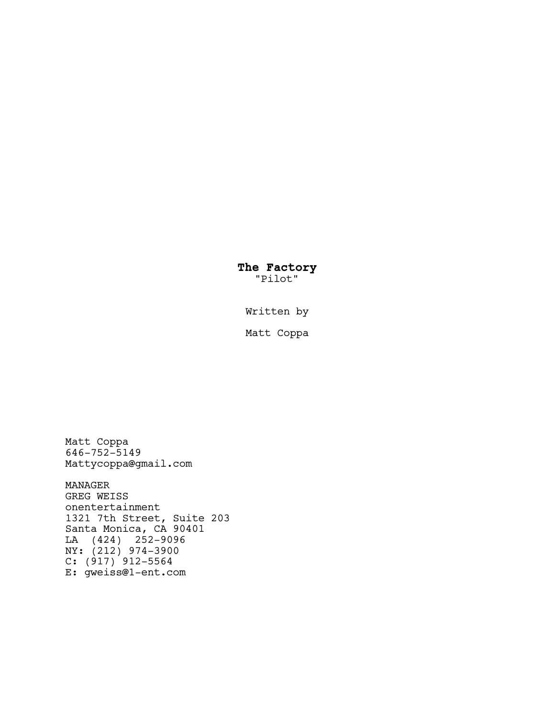**The Factory** "Pilot"

Written by

Matt Coppa

Matt Coppa 646-752-5149 Mattycoppa@gmail.com

MANAGER GREG WEISS onentertainment 1321 7th Street, Suite 203 Santa Monica, CA 90401 LA (424) 252-9096 NY: (212) 974-3900 C: (917) 912-5564 E: gweiss@1-ent.com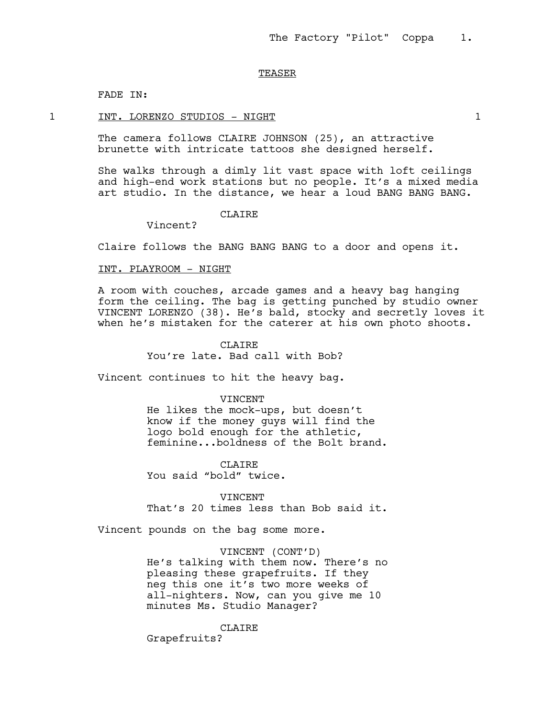#### TEASER

FADE IN:

#### 1 INT. LORENZO STUDIOS - NIGHT 1

The camera follows CLAIRE JOHNSON (25), an attractive brunette with intricate tattoos she designed herself.

She walks through a dimly lit vast space with loft ceilings and high-end work stations but no people. It's a mixed media art studio. In the distance, we hear a loud BANG BANG BANG.

# CLAIRE

Vincent?

Claire follows the BANG BANG BANG to a door and opens it.

### INT. PLAYROOM - NIGHT

A room with couches, arcade games and a heavy bag hanging form the ceiling. The bag is getting punched by studio owner VINCENT LORENZO (38). He's bald, stocky and secretly loves it when he's mistaken for the caterer at his own photo shoots.

> CLAIRE You're late. Bad call with Bob?

Vincent continues to hit the heavy bag.

#### VINCENT

He likes the mock-ups, but doesn't know if the money guys will find the logo bold enough for the athletic, feminine...boldness of the Bolt brand.

CLAIRE You said "bold" twice.

VINCENT That's 20 times less than Bob said it.

Vincent pounds on the bag some more.

#### VINCENT (CONT'D)

He's talking with them now. There's no pleasing these grapefruits. If they neg this one it's two more weeks of all-nighters. Now, can you give me 10 minutes Ms. Studio Manager?

#### CLAIRE

Grapefruits?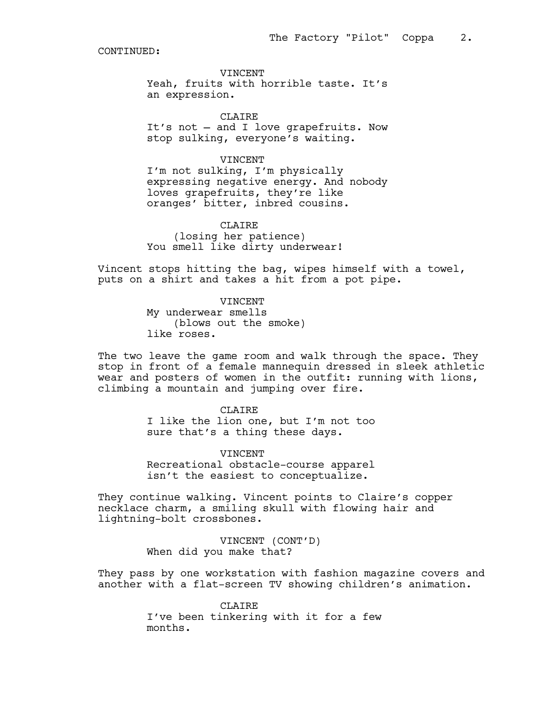VINCENT

Yeah, fruits with horrible taste. It's an expression.

CLAIRE It's not — and I love grapefruits. Now stop sulking, everyone's waiting.

### VINCENT

I'm not sulking, I'm physically expressing negative energy. And nobody loves grapefruits, they're like oranges' bitter, inbred cousins.

### CLAIRE

(losing her patience) You smell like dirty underwear!

Vincent stops hitting the bag, wipes himself with a towel, puts on a shirt and takes a hit from a pot pipe.

> VINCENT My underwear smells (blows out the smoke) like roses.

The two leave the game room and walk through the space. They stop in front of a female mannequin dressed in sleek athletic wear and posters of women in the outfit: running with lions, climbing a mountain and jumping over fire.

> CLAIRE I like the lion one, but I'm not too sure that's a thing these days.

> VINCENT Recreational obstacle-course apparel isn't the easiest to conceptualize.

They continue walking. Vincent points to Claire's copper necklace charm, a smiling skull with flowing hair and lightning-bolt crossbones.

> VINCENT (CONT'D) When did you make that?

They pass by one workstation with fashion magazine covers and another with a flat-screen TV showing children's animation.

> **CLAIRE** I've been tinkering with it for a few months.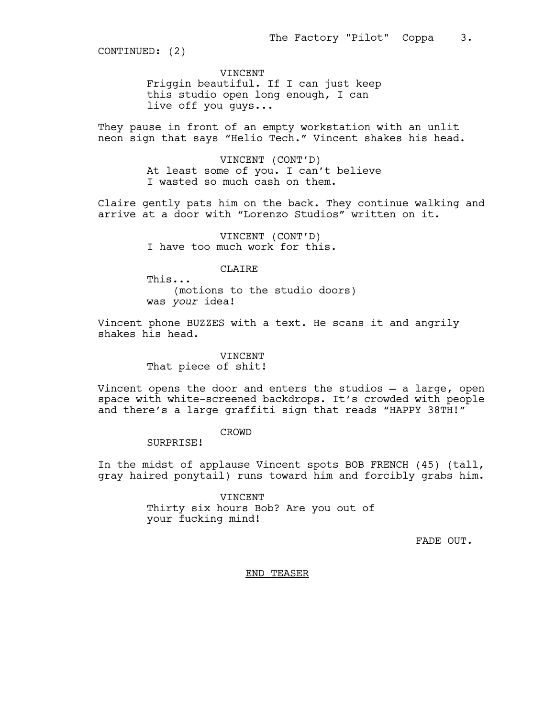VINCENT

Friggin beautiful. If I can just keep this studio open long enough, I can live off you guys...

They pause in front of an empty workstation with an unlit neon sign that says "Helio Tech." Vincent shakes his head.

> VINCENT (CONT'D) At least some of you. I can't believe I wasted so much cash on them.

Claire gently pats him on the back. They continue walking and arrive at a door with "Lorenzo Studios" written on it.

> VINCENT (CONT'D) I have too much work for this.

> > CLAIRE

This...

(motions to the studio doors) was *your* idea!

Vincent phone BUZZES with a text. He scans it and angrily shakes his head.

> VINCENT That piece of shit!

Vincent opens the door and enters the studios — a large, open space with white-screened backdrops. It's crowded with people and there's a large graffiti sign that reads "HAPPY 38TH!"

CROWD

SURPRISE!

In the midst of applause Vincent spots BOB FRENCH (45) (tall, gray haired ponytail) runs toward him and forcibly grabs him.

> VINCENT Thirty six hours Bob? Are you out of your fucking mind!

> > FADE OUT.

END TEASER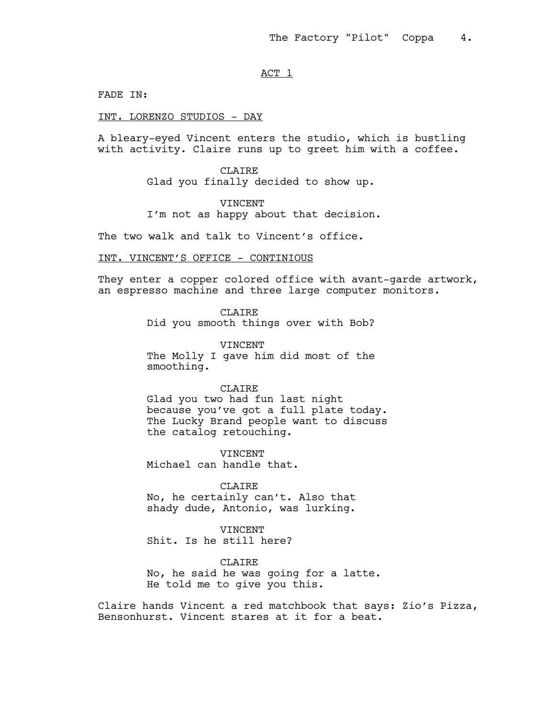## ACT<sub>1</sub>

FADE IN:

#### INT. LORENZO STUDIOS - DAY

A bleary-eyed Vincent enters the studio, which is bustling with activity. Claire runs up to greet him with a coffee.

> CLAIRE Glad you finally decided to show up.

#### VINCENT

I'm not as happy about that decision.

The two walk and talk to Vincent's office.

# INT. VINCENT'S OFFICE - CONTINIOUS

They enter a copper colored office with avant-garde artwork, an espresso machine and three large computer monitors.

**CLAIRE** 

Did you smooth things over with Bob?

VINCENT

The Molly I gave him did most of the smoothing.

### CLAIRE

Glad you two had fun last night because you've got a full plate today. The Lucky Brand people want to discuss the catalog retouching.

**VINCENT** Michael can handle that.

**CLAIRE** No, he certainly can't. Also that shady dude, Antonio, was lurking.

**VINCENT** Shit. Is he still here?

CLAIRE No, he said he was going for a latte. He told me to give you this.

Claire hands Vincent a red matchbook that says: Zio's Pizza, Bensonhurst. Vincent stares at it for a beat.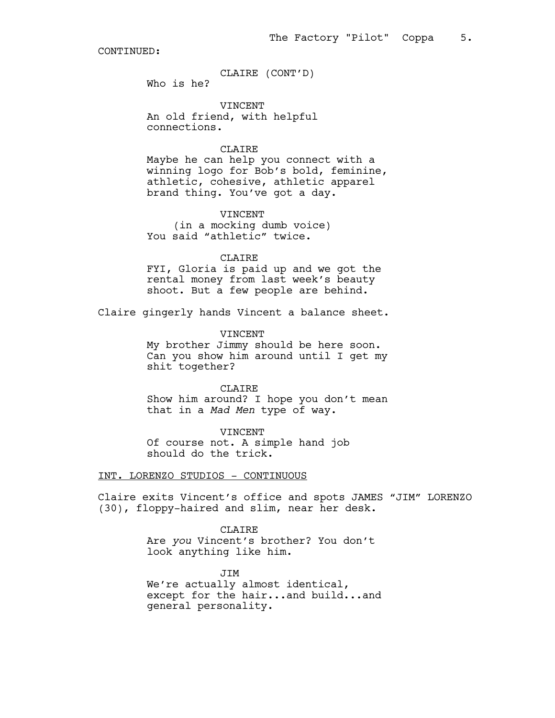CLAIRE (CONT'D)

Who is he?

VINCENT An old friend, with helpful connections.

#### CLAIRE

Maybe he can help you connect with a winning logo for Bob's bold, feminine, athletic, cohesive, athletic apparel brand thing. You've got a day.

VINCENT (in a mocking dumb voice) You said "athletic" twice.

### CLAIRE

FYI, Gloria is paid up and we got the rental money from last week's beauty shoot. But a few people are behind.

Claire gingerly hands Vincent a balance sheet.

VINCENT My brother Jimmy should be here soon. Can you show him around until I get my shit together?

CLAIRE

Show him around? I hope you don't mean that in a *Mad Men* type of way.

VINCENT

Of course not. A simple hand job should do the trick.

INT. LORENZO STUDIOS - CONTINUOUS

Claire exits Vincent's office and spots JAMES "JIM" LORENZO (30), floppy-haired and slim, near her desk.

> CLAIRE Are *you* Vincent's brother? You don't look anything like him.

JIM We're actually almost identical, except for the hair...and build...and general personality.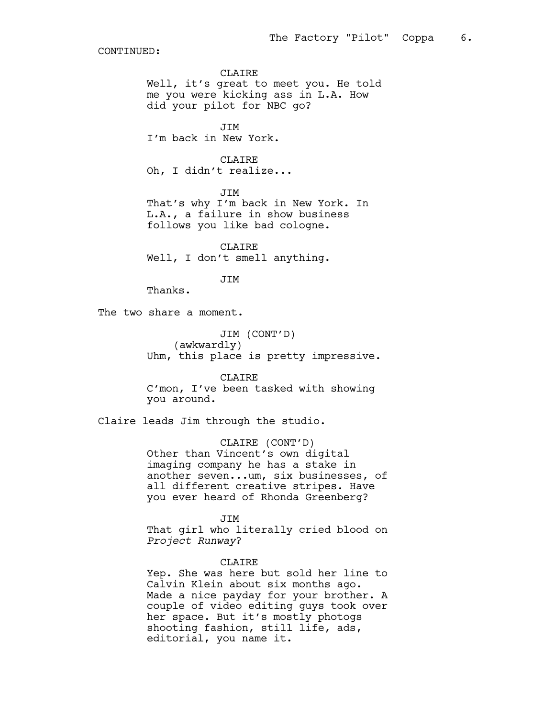CLAIRE

Well, it's great to meet you. He told me you were kicking ass in L.A. How did your pilot for NBC go?

**JTM** I'm back in New York.

CLAIRE Oh, I didn't realize...

JIM That's why I'm back in New York. In L.A., a failure in show business follows you like bad cologne.

CLAIRE Well, I don't smell anything.

JIM

Thanks.

The two share a moment.

JIM (CONT'D) (awkwardly) Uhm, this place is pretty impressive.

CLAIRE C'mon, I've been tasked with showing you around.

Claire leads Jim through the studio.

CLAIRE (CONT'D) Other than Vincent's own digital imaging company he has a stake in another seven...um, six businesses, of all different creative stripes. Have you ever heard of Rhonda Greenberg?

JIM That girl who literally cried blood on *Project Runway*?

CLAIRE

Yep. She was here but sold her line to Calvin Klein about six months ago. Made a nice payday for your brother. A couple of video editing guys took over her space. But it's mostly photogs shooting fashion, still life, ads, editorial, you name it.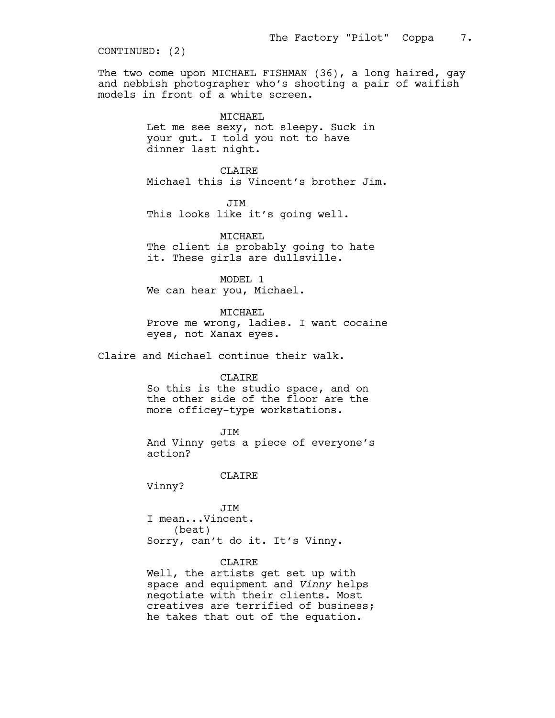The two come upon MICHAEL FISHMAN (36), a long haired, gay and nebbish photographer who's shooting a pair of waifish models in front of a white screen.

### MICHAEL

Let me see sexy, not sleepy. Suck in your gut. I told you not to have dinner last night.

CLAIRE Michael this is Vincent's brother Jim.

 JIM This looks like it's going well.

MICHAEL

The client is probably going to hate it. These girls are dullsville.

MODEL 1 We can hear you, Michael.

MICHAEL

Prove me wrong, ladies. I want cocaine eyes, not Xanax eyes.

Claire and Michael continue their walk.

CLAIRE

So this is the studio space, and on the other side of the floor are the more officey-type workstations.

JIM

And Vinny gets a piece of everyone's action?

CLAIRE

Vinny?

JIM I mean...Vincent. (beat) Sorry, can't do it. It's Vinny.

# CLAIRE

Well, the artists get set up with space and equipment and *Vinny* helps negotiate with their clients. Most creatives are terrified of business; he takes that out of the equation.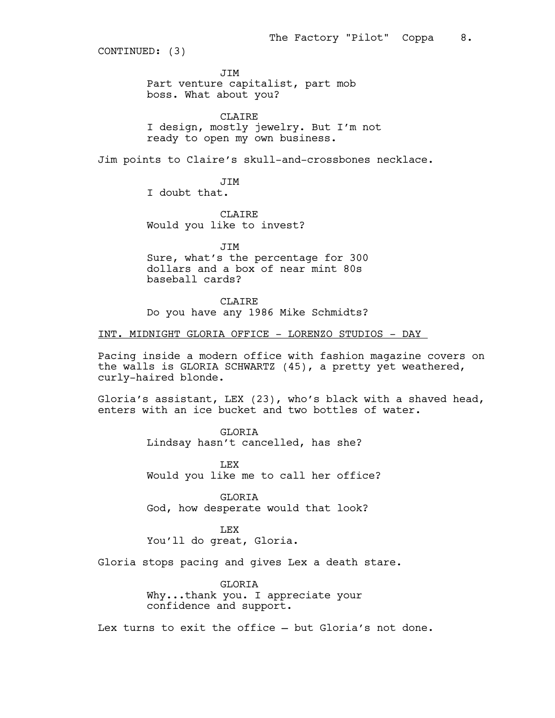JIM

Part venture capitalist, part mob boss. What about you?

CLAIRE I design, mostly jewelry. But I'm not ready to open my own business.

Jim points to Claire's skull-and-crossbones necklace.

JIM I doubt that.

CLAIRE Would you like to invest?

JIM Sure, what's the percentage for 300 dollars and a box of near mint 80s baseball cards?

CLAIRE Do you have any 1986 Mike Schmidts?

# INT. MIDNIGHT GLORIA OFFICE - LORENZO STUDIOS - DAY

Pacing inside a modern office with fashion magazine covers on the walls is GLORIA SCHWARTZ (45), a pretty yet weathered, curly-haired blonde.

Gloria's assistant, LEX (23), who's black with a shaved head, enters with an ice bucket and two bottles of water.

> **GLORTA** Lindsay hasn't cancelled, has she?

LEX Would you like me to call her office?

GLORIA God, how desperate would that look?

LEX You'll do great, Gloria.

Gloria stops pacing and gives Lex a death stare.

GLORIA Why...thank you. I appreciate your confidence and support.

Lex turns to exit the office — but Gloria's not done.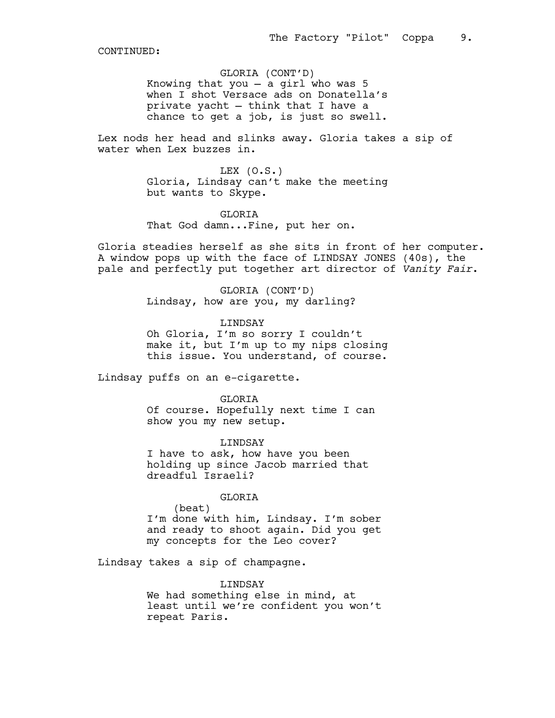GLORIA (CONT'D) Knowing that you — a girl who was 5 when I shot Versace ads on Donatella's private yacht — think that I have a chance to get a job, is just so swell.

Lex nods her head and slinks away. Gloria takes a sip of water when Lex buzzes in.

> LEX  $(0.S.)$ Gloria, Lindsay can't make the meeting but wants to Skype.

**GLORTA** That God damn...Fine, put her on.

Gloria steadies herself as she sits in front of her computer. A window pops up with the face of LINDSAY JONES (40s), the pale and perfectly put together art director of *Vanity Fair*.

> GLORIA (CONT'D) Lindsay, how are you, my darling?

LINDSAY Oh Gloria, I'm so sorry I couldn't make it, but I'm up to my nips closing

this issue. You understand, of course.

Lindsay puffs on an e-cigarette.

GLORIA

Of course. Hopefully next time I can show you my new setup.

LINDSAY I have to ask, how have you been holding up since Jacob married that dreadful Israeli?

#### GLORIA

(beat) I'm done with him, Lindsay. I'm sober and ready to shoot again. Did you get my concepts for the Leo cover?

Lindsay takes a sip of champagne.

#### LINDSAY

We had something else in mind, at least until we're confident you won't repeat Paris.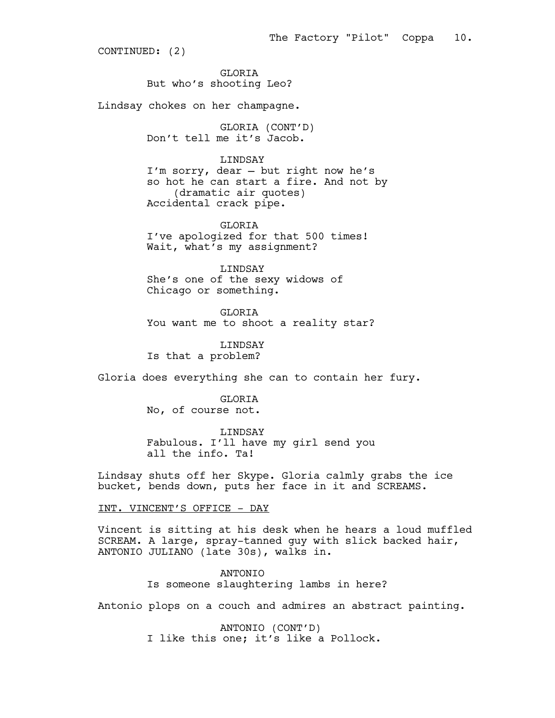GLORIA But who's shooting Leo?

Lindsay chokes on her champagne.

GLORIA (CONT'D) Don't tell me it's Jacob.

# LINDSAY

I'm sorry, dear — but right now he's so hot he can start a fire. And not by (dramatic air quotes) Accidental crack pipe.

GLORIA I've apologized for that 500 times! Wait, what's my assignment?

LINDSAY She's one of the sexy widows of Chicago or something.

GLORIA You want me to shoot a reality star?

LINDSAY Is that a problem?

Gloria does everything she can to contain her fury.

GLORIA No, of course not.

LINDSAY

Fabulous. I'll have my girl send you all the info. Ta!

Lindsay shuts off her Skype. Gloria calmly grabs the ice bucket, bends down, puts her face in it and SCREAMS.

INT. VINCENT'S OFFICE - DAY

Vincent is sitting at his desk when he hears a loud muffled SCREAM. A large, spray-tanned guy with slick backed hair, ANTONIO JULIANO (late 30s), walks in.

> ANTONIO Is someone slaughtering lambs in here?

Antonio plops on a couch and admires an abstract painting.

ANTONIO (CONT'D) I like this one; it's like a Pollock.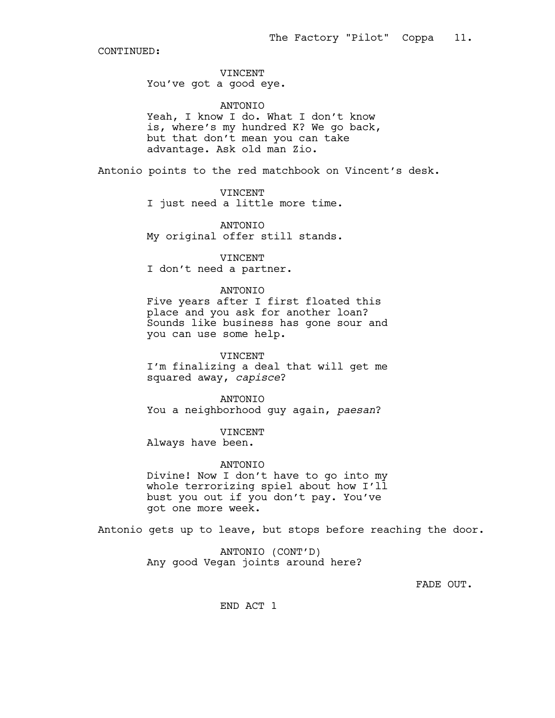# VINCENT You've got a good eye.

#### ANTONIO

Yeah, I know I do. What I don't know is, where's my hundred K? We go back, but that don't mean you can take advantage. Ask old man Zio.

Antonio points to the red matchbook on Vincent's desk.

# VINCENT

I just need a little more time.

#### ANTONIO

My original offer still stands.

VINCENT

I don't need a partner.

# ANTONIO

Five years after I first floated this place and you ask for another loan? Sounds like business has gone sour and you can use some help.

# VINCENT I'm finalizing a deal that will get me

squared away, *capisce*?

# ANTONIO

You a neighborhood guy again, *paesan*?

# VINCENT Always have been.

### ANTONIO

Divine! Now I don't have to go into my whole terrorizing spiel about how I'll bust you out if you don't pay. You've got one more week.

Antonio gets up to leave, but stops before reaching the door.

ANTONIO (CONT'D) Any good Vegan joints around here?

FADE OUT.

END ACT 1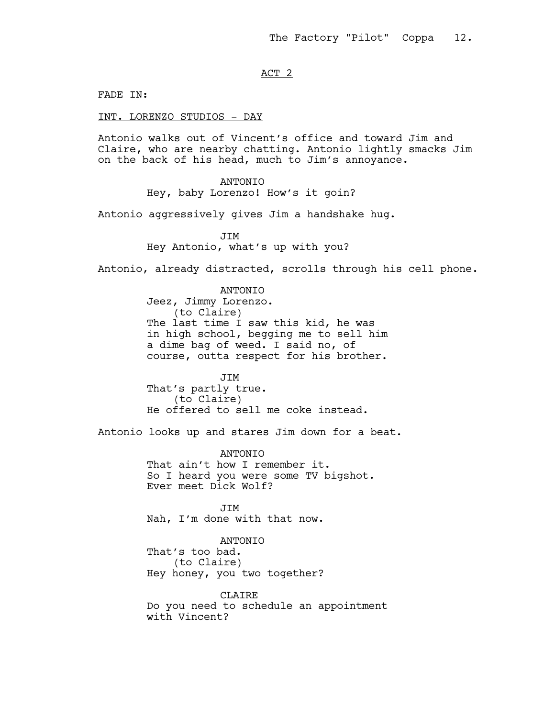# ACT 2

FADE IN:

INT. LORENZO STUDIOS - DAY

Antonio walks out of Vincent's office and toward Jim and Claire, who are nearby chatting. Antonio lightly smacks Jim on the back of his head, much to Jim's annoyance.

> ANTONIO Hey, baby Lorenzo! How's it goin?

Antonio aggressively gives Jim a handshake hug.

JIM Hey Antonio, what's up with you?

Antonio, already distracted, scrolls through his cell phone.

ANTONIO Jeez, Jimmy Lorenzo. (to Claire) The last time I saw this kid, he was in high school, begging me to sell him a dime bag of weed. I said no, of course, outta respect for his brother.

JIM That's partly true. (to Claire) He offered to sell me coke instead.

Antonio looks up and stares Jim down for a beat.

ANTONIO That ain't how I remember it. So I heard you were some TV bigshot. Ever meet Dick Wolf?

**JTM** Nah, I'm done with that now.

ANTONIO That's too bad. (to Claire) Hey honey, you two together?

CLAIRE Do you need to schedule an appointment with Vincent?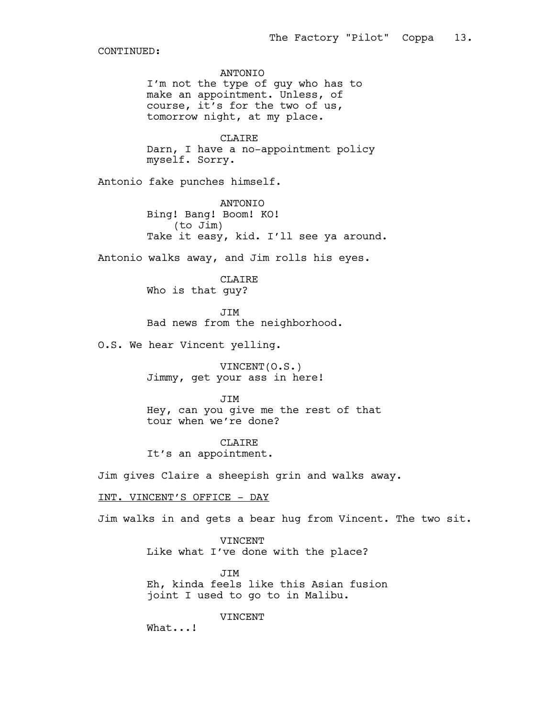ANTONIO I'm not the type of guy who has to make an appointment. Unless, of course, it's for the two of us, tomorrow night, at my place. CLAIRE Darn, I have a no-appointment policy myself. Sorry. Antonio fake punches himself. ANTONIO Bing! Bang! Boom! KO! (to Jim) Take it easy, kid. I'll see ya around. Antonio walks away, and Jim rolls his eyes. CLAIRE Who is that guy? JIM Bad news from the neighborhood. O.S. We hear Vincent yelling. VINCENT(O.S.) Jimmy, get your ass in here! JIM Hey, can you give me the rest of that tour when we're done? CLAIRE It's an appointment. Jim gives Claire a sheepish grin and walks away. INT. VINCENT'S OFFICE - DAY Jim walks in and gets a bear hug from Vincent. The two sit. VINCENT Like what I've done with the place? JIM Eh, kinda feels like this Asian fusion joint I used to go to in Malibu. VINCENT What...!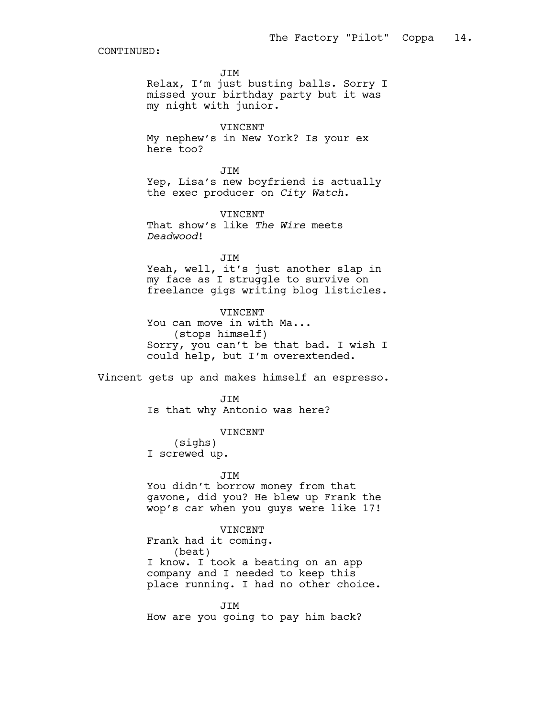JIM

Relax, I'm just busting balls. Sorry I missed your birthday party but it was my night with junior.

# VINCENT

My nephew's in New York? Is your ex here too?

JIM Yep, Lisa's new boyfriend is actually the exec producer on *City Watch*.

VINCENT That show's like *The Wire* meets *Deadwood*!

JIM

Yeah, well, it's just another slap in my face as I struggle to survive on freelance gigs writing blog listicles.

VINCENT You can move in with Ma... (stops himself) Sorry, you can't be that bad. I wish I could help, but I'm overextended.

Vincent gets up and makes himself an espresso.

JIM Is that why Antonio was here?

#### VINCENT

(sighs) I screwed up.

#### JIM

You didn't borrow money from that gavone, did you? He blew up Frank the wop's car when you guys were like 17!

# VINCENT

Frank had it coming. (beat) I know. I took a beating on an app company and I needed to keep this place running. I had no other choice.

JIM How are you going to pay him back?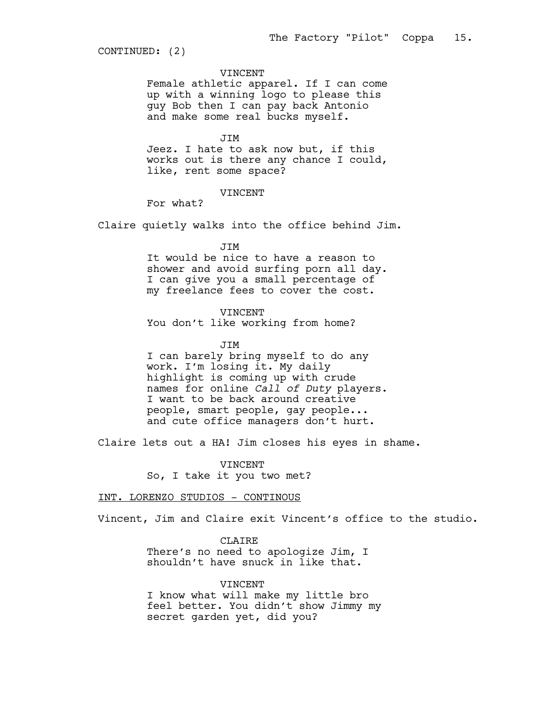#### VINCENT

Female athletic apparel. If I can come up with a winning logo to please this guy Bob then I can pay back Antonio and make some real bucks myself.

JIM

Jeez. I hate to ask now but, if this works out is there any chance I could, like, rent some space?

#### VINCENT

For what?

Claire quietly walks into the office behind Jim.

JIM

It would be nice to have a reason to shower and avoid surfing porn all day. I can give you a small percentage of my freelance fees to cover the cost.

VINCENT

You don't like working from home?

#### JIM

I can barely bring myself to do any work. I'm losing it. My daily highlight is coming up with crude names for online *Call of Duty* players. I want to be back around creative people, smart people, gay people... and cute office managers don't hurt.

Claire lets out a HA! Jim closes his eyes in shame.

VINCENT So, I take it you two met?

### INT. LORENZO STUDIOS - CONTINOUS

Vincent, Jim and Claire exit Vincent's office to the studio.

CLAIRE There's no need to apologize Jim, I shouldn't have snuck in like that.

#### VINCENT

I know what will make my little bro feel better. You didn't show Jimmy my secret garden yet, did you?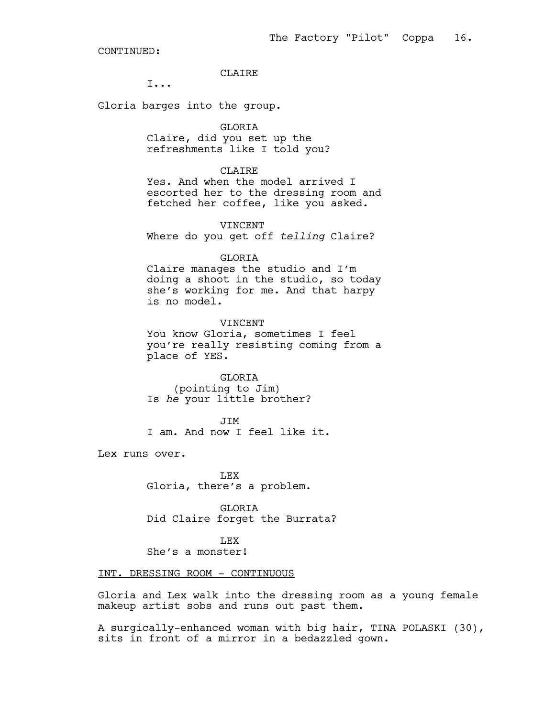# CLAIRE

I...

Gloria barges into the group.

GLORIA

Claire, did you set up the refreshments like I told you?

CLAIRE

Yes. And when the model arrived I escorted her to the dressing room and fetched her coffee, like you asked.

VINCENT

Where do you get off *telling* Claire?

# GLORIA

Claire manages the studio and I'm doing a shoot in the studio, so today she's working for me. And that harpy is no model.

VINCENT You know Gloria, sometimes I feel you're really resisting coming from a place of YES.

GLORIA (pointing to Jim) Is *he* your little brother?

JIM I am. And now I feel like it.

Lex runs over.

LEX Gloria, there's a problem.

GLORIA Did Claire forget the Burrata?

LEX She's a monster!

# INT. DRESSING ROOM - CONTINUOUS

Gloria and Lex walk into the dressing room as a young female makeup artist sobs and runs out past them.

A surgically-enhanced woman with big hair, TINA POLASKI (30), sits in front of a mirror in a bedazzled gown.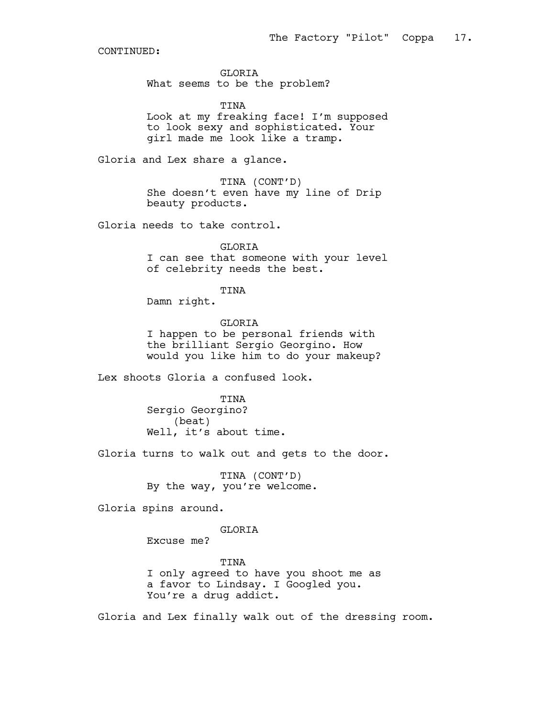GLORIA What seems to be the problem?

TINA Look at my freaking face! I'm supposed to look sexy and sophisticated. Your girl made me look like a tramp.

Gloria and Lex share a glance.

TINA (CONT'D) She doesn't even have my line of Drip beauty products.

Gloria needs to take control.

**GLORTA** I can see that someone with your level of celebrity needs the best.

# TINA

Damn right.

GLORIA I happen to be personal friends with the brilliant Sergio Georgino. How would you like him to do your makeup?

Lex shoots Gloria a confused look.

TINA Sergio Georgino? (beat) Well, it's about time.

Gloria turns to walk out and gets to the door.

TINA (CONT'D) By the way, you're welcome.

Gloria spins around.

# GLORIA

Excuse me?

TINA I only agreed to have you shoot me as a favor to Lindsay. I Googled you. You're a drug addict.

Gloria and Lex finally walk out of the dressing room.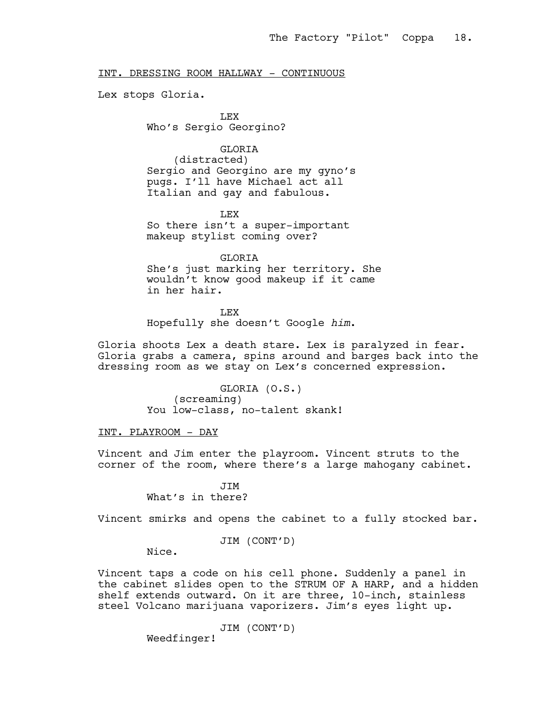### INT. DRESSING ROOM HALLWAY - CONTINUOUS

Lex stops Gloria.

LEX Who's Sergio Georgino?

# GLORIA

(distracted) Sergio and Georgino are my gyno's pugs. I'll have Michael act all Italian and gay and fabulous.

LEX So there isn't a super-important makeup stylist coming over?

GLORIA She's just marking her territory. She wouldn't know good makeup if it came in her hair.

LEX

Hopefully she doesn't Google *him*.

Gloria shoots Lex a death stare. Lex is paralyzed in fear. Gloria grabs a camera, spins around and barges back into the dressing room as we stay on Lex's concerned expression.

> GLORIA (O.S.) (screaming) You low-class, no-talent skank!

INT. PLAYROOM - DAY

Vincent and Jim enter the playroom. Vincent struts to the corner of the room, where there's a large mahogany cabinet.

> **JTM** What's in there?

Vincent smirks and opens the cabinet to a fully stocked bar.

### JIM (CONT'D)

Nice.

Vincent taps a code on his cell phone. Suddenly a panel in the cabinet slides open to the STRUM OF A HARP, and a hidden shelf extends outward. On it are three, 10-inch, stainless steel Volcano marijuana vaporizers. Jim's eyes light up.

JIM (CONT'D)

Weedfinger!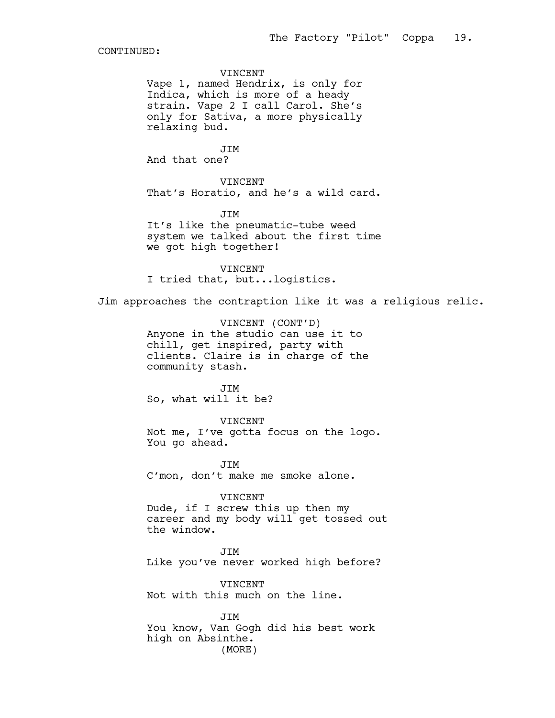VINCENT

Vape 1, named Hendrix, is only for Indica, which is more of a heady strain. Vape 2 I call Carol. She's only for Sativa, a more physically relaxing bud.

JIM And that one?

VINCENT That's Horatio, and he's a wild card.

JIM It's like the pneumatic-tube weed system we talked about the first time we got high together!

VINCENT I tried that, but...logistics.

Jim approaches the contraption like it was a religious relic.

VINCENT (CONT'D) Anyone in the studio can use it to chill, get inspired, party with clients. Claire is in charge of the community stash.

JIM So, what will it be?

VINCENT Not me, I've gotta focus on the logo. You go ahead.

JIM C'mon, don't make me smoke alone.

VINCENT Dude, if I screw this up then my career and my body will get tossed out the window.

JIM Like you've never worked high before?

VINCENT Not with this much on the line.

JIM You know, Van Gogh did his best work high on Absinthe. (MORE)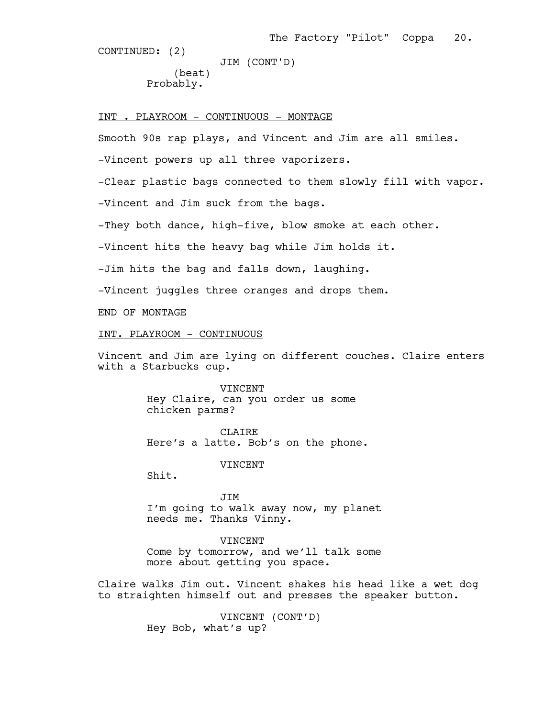(beat) Probably. JIM (CONT'D)

INT . PLAYROOM - CONTINUOUS - MONTAGE

Smooth 90s rap plays, and Vincent and Jim are all smiles.

-Vincent powers up all three vaporizers.

-Clear plastic bags connected to them slowly fill with vapor.

-Vincent and Jim suck from the bags.

-They both dance, high-five, blow smoke at each other.

-Vincent hits the heavy bag while Jim holds it.

-Jim hits the bag and falls down, laughing.

-Vincent juggles three oranges and drops them.

END OF MONTAGE

# INT. PLAYROOM - CONTINUOUS

Vincent and Jim are lying on different couches. Claire enters with a Starbucks cup.

> VINCENT Hey Claire, can you order us some chicken parms?

CLAIRE Here's a latte. Bob's on the phone.

VINCENT

Shit.

JIM I'm going to walk away now, my planet needs me. Thanks Vinny.

VINCENT Come by tomorrow, and we'll talk some more about getting you space.

Claire walks Jim out. Vincent shakes his head like a wet dog to straighten himself out and presses the speaker button.

> VINCENT (CONT'D) Hey Bob, what's up?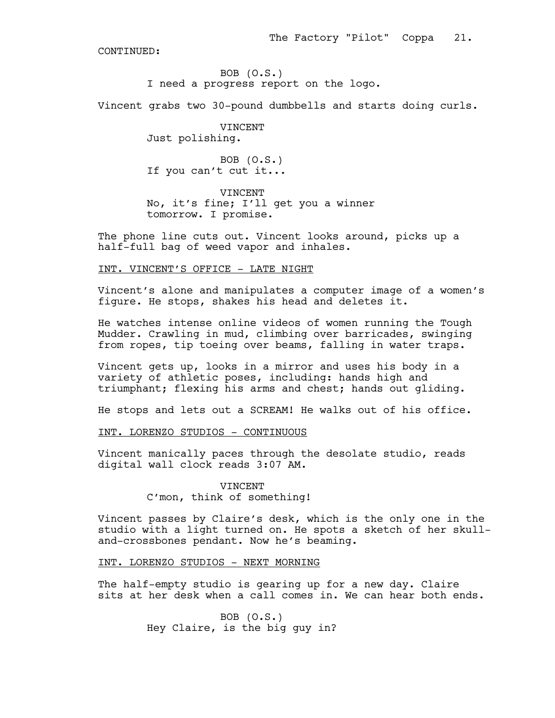BOB (O.S.) I need a progress report on the logo.

Vincent grabs two 30-pound dumbbells and starts doing curls.

VINCENT Just polishing.

BOB (O.S.) If you can't cut it...

VINCENT No, it's fine; I'll get you a winner tomorrow. I promise.

The phone line cuts out. Vincent looks around, picks up a half-full bag of weed vapor and inhales.

# INT. VINCENT'S OFFICE - LATE NIGHT

Vincent's alone and manipulates a computer image of a women's figure. He stops, shakes his head and deletes it.

He watches intense online videos of women running the Tough Mudder. Crawling in mud, climbing over barricades, swinging from ropes, tip toeing over beams, falling in water traps.

Vincent gets up, looks in a mirror and uses his body in a variety of athletic poses, including: hands high and triumphant; flexing his arms and chest; hands out gliding.

He stops and lets out a SCREAM! He walks out of his office.

### INT. LORENZO STUDIOS - CONTINUOUS

Vincent manically paces through the desolate studio, reads digital wall clock reads 3:07 AM.

# **VINCENT** C'mon, think of something!

Vincent passes by Claire's desk, which is the only one in the studio with a light turned on. He spots a sketch of her skulland-crossbones pendant. Now he's beaming.

#### INT. LORENZO STUDIOS - NEXT MORNING

The half-empty studio is gearing up for a new day. Claire sits at her desk when a call comes in. We can hear both ends.

> BOB (O.S.) Hey Claire, is the big guy in?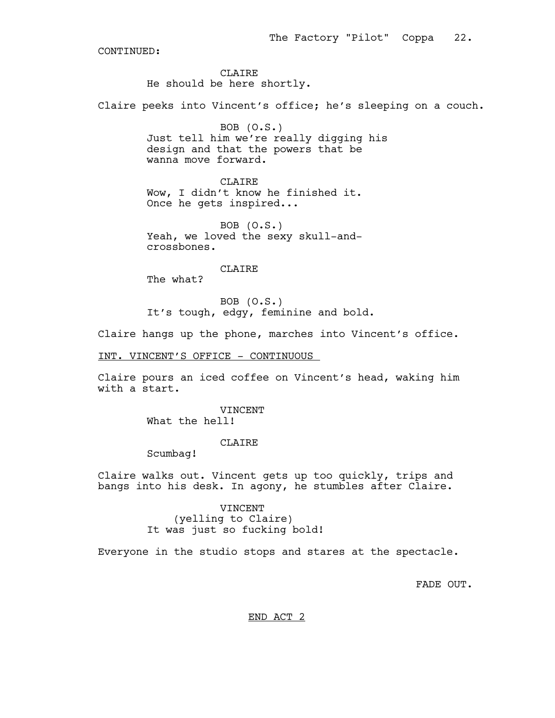CLAIRE He should be here shortly.

Claire peeks into Vincent's office; he's sleeping on a couch.

BOB (O.S.) Just tell him we're really digging his design and that the powers that be wanna move forward.

**CLAIRE** Wow, I didn't know he finished it. Once he gets inspired...

BOB (O.S.) Yeah, we loved the sexy skull-andcrossbones.

CLAIRE

The what?

BOB (O.S.) It's tough, edgy, feminine and bold.

Claire hangs up the phone, marches into Vincent's office.

INT. VINCENT'S OFFICE - CONTINUOUS

Claire pours an iced coffee on Vincent's head, waking him with a start.

> VINCENT What the hell!

#### CLAIRE

Scumbag!

Claire walks out. Vincent gets up too quickly, trips and bangs into his desk. In agony, he stumbles after Claire.

# VINCENT (yelling to Claire) It was just so fucking bold!

Everyone in the studio stops and stares at the spectacle.

FADE OUT.

END ACT 2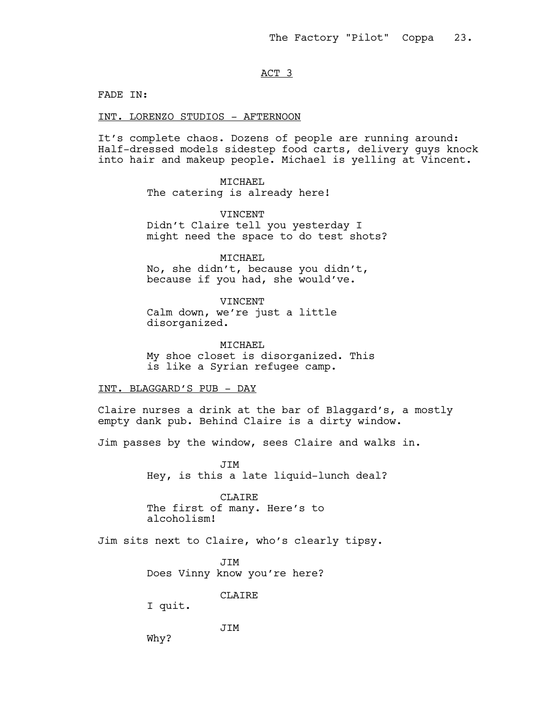## ACT 3

FADE IN:

INT. LORENZO STUDIOS - AFTERNOON

It's complete chaos. Dozens of people are running around: Half-dressed models sidestep food carts, delivery guys knock into hair and makeup people. Michael is yelling at Vincent.

> MICHAEL The catering is already here!

**VINCENT** Didn't Claire tell you yesterday I might need the space to do test shots?

MICHAEL No, she didn't, because you didn't, because if you had, she would've.

VINCENT Calm down, we're just a little disorganized.

MICHAEL My shoe closet is disorganized. This is like a Syrian refugee camp.

INT. BLAGGARD'S PUB - DAY

Claire nurses a drink at the bar of Blaggard's, a mostly empty dank pub. Behind Claire is a dirty window.

Jim passes by the window, sees Claire and walks in.

JIM Hey, is this a late liquid-lunch deal?

CLAIRE The first of many. Here's to alcoholism!

Jim sits next to Claire, who's clearly tipsy.

JIM Does Vinny know you're here?

CLAIRE

I quit.

JIM

Why?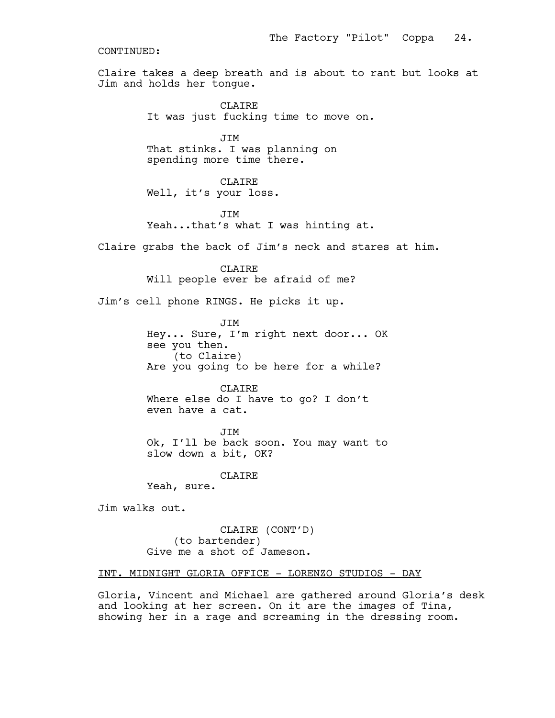Claire takes a deep breath and is about to rant but looks at Jim and holds her tongue.

> CLAIRE It was just fucking time to move on.

JIM That stinks. I was planning on spending more time there.

CLAIRE Well, it's your loss.

**JTM** Yeah...that's what I was hinting at.

Claire grabs the back of Jim's neck and stares at him.

CLAIRE Will people ever be afraid of me?

Jim's cell phone RINGS. He picks it up.

JIM Hey... Sure, I'm right next door... OK see you then. (to Claire) Are you going to be here for a while?

CLAIRE Where else do I have to go? I don't even have a cat.

**JTM** Ok, I'll be back soon. You may want to slow down a bit, OK?

CLAIRE

Yeah, sure.

Jim walks out.

CLAIRE (CONT'D) (to bartender) Give me a shot of Jameson.

# INT. MIDNIGHT GLORIA OFFICE - LORENZO STUDIOS - DAY

Gloria, Vincent and Michael are gathered around Gloria's desk and looking at her screen. On it are the images of Tina, showing her in a rage and screaming in the dressing room.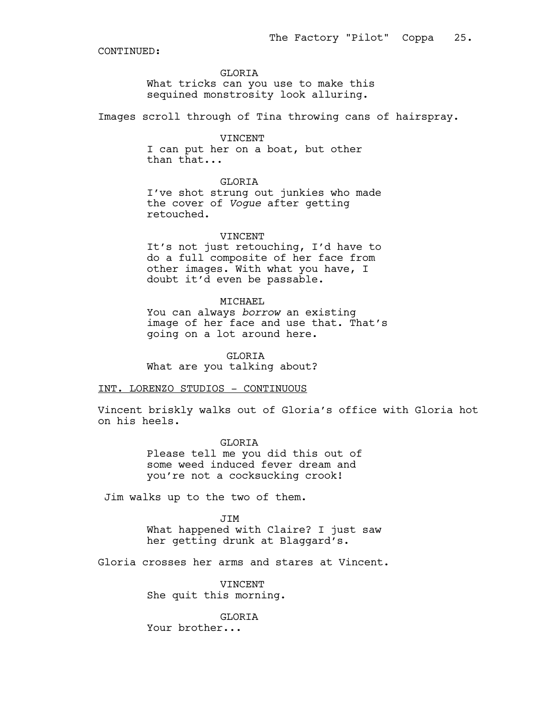#### **GLORTA**

What tricks can you use to make this sequined monstrosity look alluring.

Images scroll through of Tina throwing cans of hairspray.

#### VINCENT

I can put her on a boat, but other than that...

# **GLORTA**

I've shot strung out junkies who made the cover of *Vogue* after getting retouched.

#### VINCENT

It's not just retouching, I'd have to do a full composite of her face from other images. With what you have, I doubt it'd even be passable.

### MICHAEL

You can always *borrow* an existing image of her face and use that. That's going on a lot around here.

GLORIA

What are you talking about?

# INT. LORENZO STUDIOS - CONTINUOUS

Vincent briskly walks out of Gloria's office with Gloria hot on his heels.

> GLORIA Please tell me you did this out of some weed induced fever dream and you're not a cocksucking crook!

Jim walks up to the two of them.

JIM What happened with Claire? I just saw her getting drunk at Blaggard's.

Gloria crosses her arms and stares at Vincent.

VINCENT She quit this morning.

GLORIA Your brother...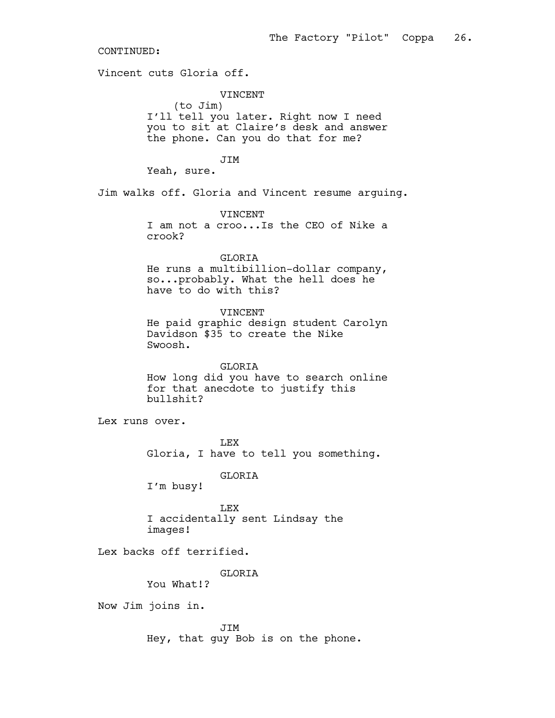Vincent cuts Gloria off.

VINCENT (to Jim)

I'll tell you later. Right now I need you to sit at Claire's desk and answer the phone. Can you do that for me?

JIM

Yeah, sure.

Jim walks off. Gloria and Vincent resume arguing.

VINCENT I am not a croo...Is the CEO of Nike a crook?

# GLORIA

He runs a multibillion-dollar company, so...probably. What the hell does he have to do with this?

VINCENT

He paid graphic design student Carolyn Davidson \$35 to create the Nike Swoosh.

GLORIA How long did you have to search online for that anecdote to justify this bullshit?

Lex runs over.

LEX Gloria, I have to tell you something.

# GLORIA

I'm busy!

LEX I accidentally sent Lindsay the images!

Lex backs off terrified.

GLORIA

You What!?

Now Jim joins in.

JIM Hey, that guy Bob is on the phone.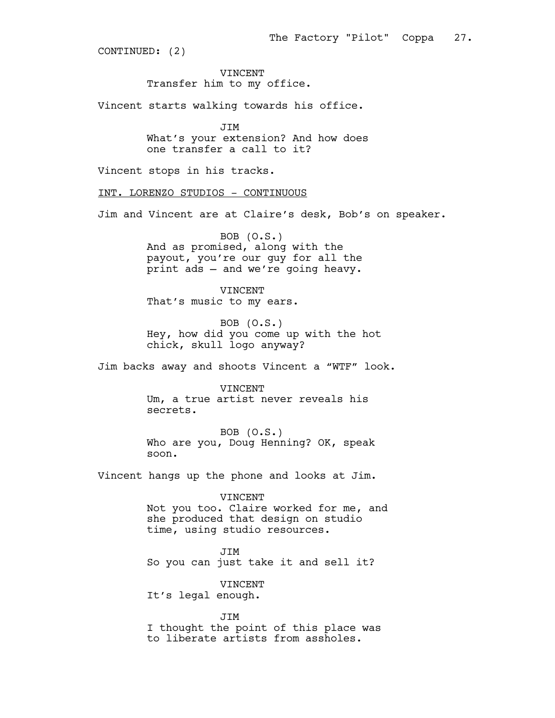VINCENT Transfer him to my office.

Vincent starts walking towards his office.

JIM What's your extension? And how does one transfer a call to it?

Vincent stops in his tracks.

INT. LORENZO STUDIOS - CONTINUOUS

Jim and Vincent are at Claire's desk, Bob's on speaker.

BOB (O.S.) And as promised, along with the payout, you're our guy for all the print ads — and we're going heavy.

VINCENT That's music to my ears.

BOB (O.S.) Hey, how did you come up with the hot chick, skull logo anyway?

Jim backs away and shoots Vincent a "WTF" look.

VINCENT Um, a true artist never reveals his secrets.

BOB (O.S.) Who are you, Doug Henning? OK, speak soon.

Vincent hangs up the phone and looks at Jim.

VINCENT Not you too. Claire worked for me, and she produced that design on studio time, using studio resources.

JIM So you can just take it and sell it?

VINCENT It's legal enough.

JIM I thought the point of this place was to liberate artists from assholes.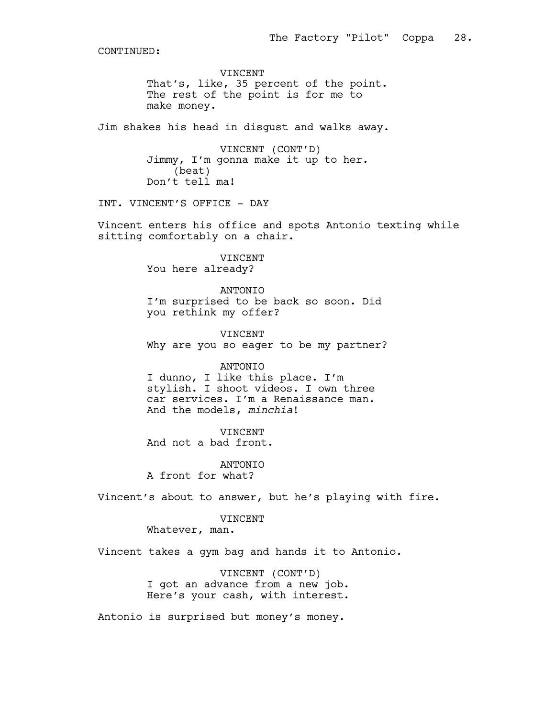VINCENT That's, like, 35 percent of the point. The rest of the point is for me to make money.

Jim shakes his head in disgust and walks away.

VINCENT (CONT'D) Jimmy, I'm gonna make it up to her. (beat) Don't tell ma!

#### INT. VINCENT'S OFFICE - DAY

Vincent enters his office and spots Antonio texting while sitting comfortably on a chair.

> VINCENT You here already?

ANTONIO I'm surprised to be back so soon. Did you rethink my offer?

VINCENT Why are you so eager to be my partner?

#### ANTONIO

I dunno, I like this place. I'm stylish. I shoot videos. I own three car services. I'm a Renaissance man. And the models, *minchia*!

VINCENT And not a bad front.

ANTONIO A front for what?

Vincent's about to answer, but he's playing with fire.

# VINCENT

Whatever, man.

Vincent takes a gym bag and hands it to Antonio.

VINCENT (CONT'D) I got an advance from a new job. Here's your cash, with interest.

Antonio is surprised but money's money.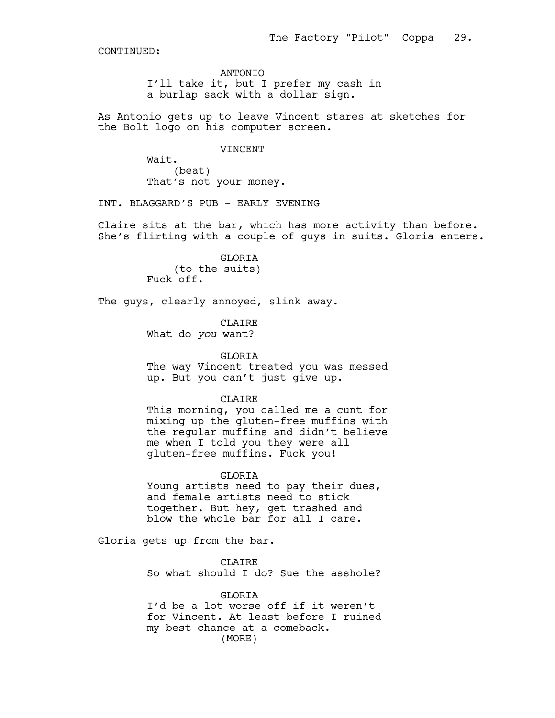#### ANTONIO

I'll take it, but I prefer my cash in a burlap sack with a dollar sign.

As Antonio gets up to leave Vincent stares at sketches for the Bolt logo on his computer screen.

#### VINCENT

Wait. (beat) That's not your money.

### INT. BLAGGARD'S PUB - EARLY EVENING

Claire sits at the bar, which has more activity than before. She's flirting with a couple of guys in suits. Gloria enters.

> GLORIA (to the suits) Fuck off.

The guys, clearly annoyed, slink away.

CLAIRE

What do *you* want?

#### GLORIA

The way Vincent treated you was messed up. But you can't just give up.

#### CLAIRE

This morning, you called me a cunt for mixing up the gluten-free muffins with the regular muffins and didn't believe me when I told you they were all gluten-free muffins. Fuck you!

#### GLORIA

Young artists need to pay their dues, and female artists need to stick together. But hey, get trashed and blow the whole bar for all I care.

Gloria gets up from the bar.

CLAIRE So what should I do? Sue the asshole?

#### GLORIA

I'd be a lot worse off if it weren't for Vincent. At least before I ruined my best chance at a comeback. (MORE)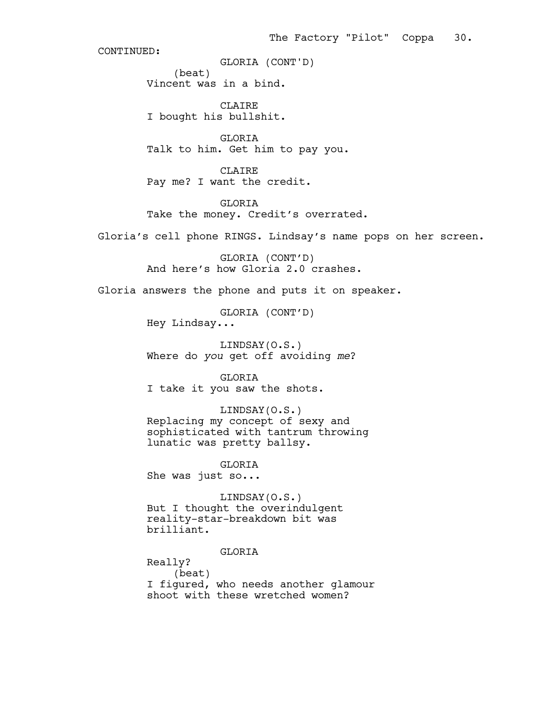(beat) Vincent was in a bind. GLORIA (CONT'D)

CLAIRE I bought his bullshit.

GLORIA Talk to him. Get him to pay you.

CLAIRE Pay me? I want the credit.

GLORIA Take the money. Credit's overrated.

Gloria's cell phone RINGS. Lindsay's name pops on her screen.

GLORIA (CONT'D) And here's how Gloria 2.0 crashes.

Gloria answers the phone and puts it on speaker.

GLORIA (CONT'D) Hey Lindsay...

LINDSAY(O.S.) Where do *you* get off avoiding *me*?

GLORIA I take it you saw the shots.

LINDSAY(O.S.) Replacing my concept of sexy and sophisticated with tantrum throwing lunatic was pretty ballsy.

GLORIA She was just so...

LINDSAY(O.S.) But I thought the overindulgent reality-star-breakdown bit was brilliant.

# GLORIA

Really? (beat) I figured, who needs another glamour shoot with these wretched women?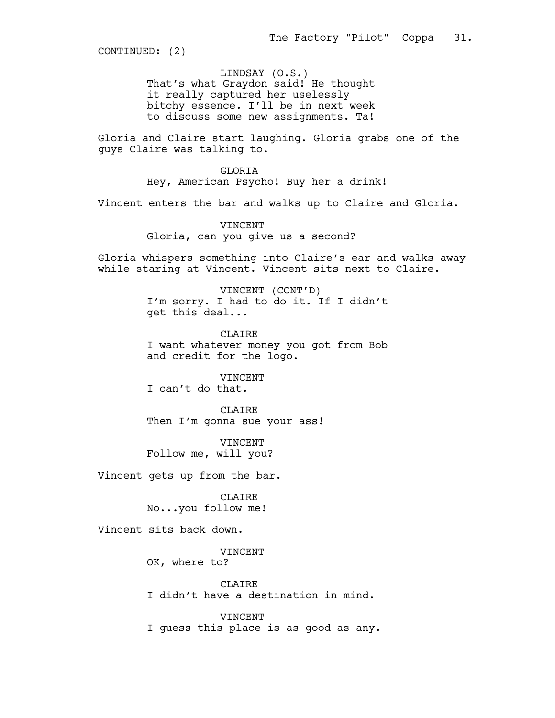LINDSAY (O.S.) That's what Graydon said! He thought it really captured her uselessly bitchy essence. I'll be in next week to discuss some new assignments. Ta!

Gloria and Claire start laughing. Gloria grabs one of the guys Claire was talking to.

GLORIA Hey, American Psycho! Buy her a drink!

Vincent enters the bar and walks up to Claire and Gloria.

VINCENT Gloria, can you give us a second?

Gloria whispers something into Claire's ear and walks away while staring at Vincent. Vincent sits next to Claire.

> VINCENT (CONT'D) I'm sorry. I had to do it. If I didn't get this deal...

> CLAIRE I want whatever money you got from Bob and credit for the logo.

> > VINCENT

I can't do that.

CLAIRE Then I'm gonna sue your ass!

VINCENT Follow me, will you?

Vincent gets up from the bar.

CLAIRE No...you follow me!

Vincent sits back down.

VINCENT

OK, where to?

CLAIRE I didn't have a destination in mind.

VINCENT I guess this place is as good as any.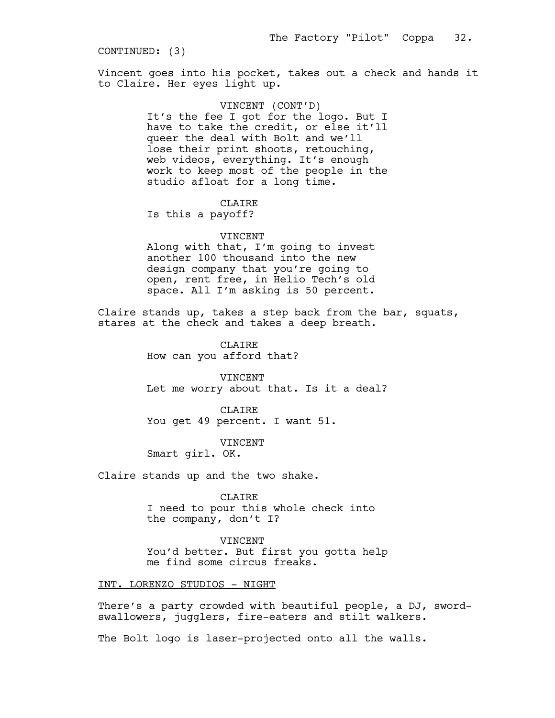Vincent goes into his pocket, takes out a check and hands it to Claire. Her eyes light up.

> VINCENT (CONT'D) It's the fee I got for the logo. But I have to take the credit, or else it'll queer the deal with Bolt and we'll lose their print shoots, retouching, web videos, everything. It's enough work to keep most of the people in the studio afloat for a long time.

> > CLAIRE

Is this a payoff?

#### VINCENT

Along with that, I'm going to invest another 100 thousand into the new design company that you're going to open, rent free, in Helio Tech's old space. All I'm asking is 50 percent.

Claire stands up, takes a step back from the bar, squats, stares at the check and takes a deep breath.

> CLAIRE How can you afford that?

VINCENT Let me worry about that. Is it a deal?

CLAIRE You get 49 percent. I want 51.

VINCENT

Smart girl. OK.

Claire stands up and the two shake.

CLAIRE I need to pour this whole check into the company, don't I?

VINCENT You'd better. But first you gotta help me find some circus freaks.

#### INT. LORENZO STUDIOS - NIGHT

There's a party crowded with beautiful people, a DJ, swordswallowers, jugglers, fire-eaters and stilt walkers.

The Bolt logo is laser-projected onto all the walls.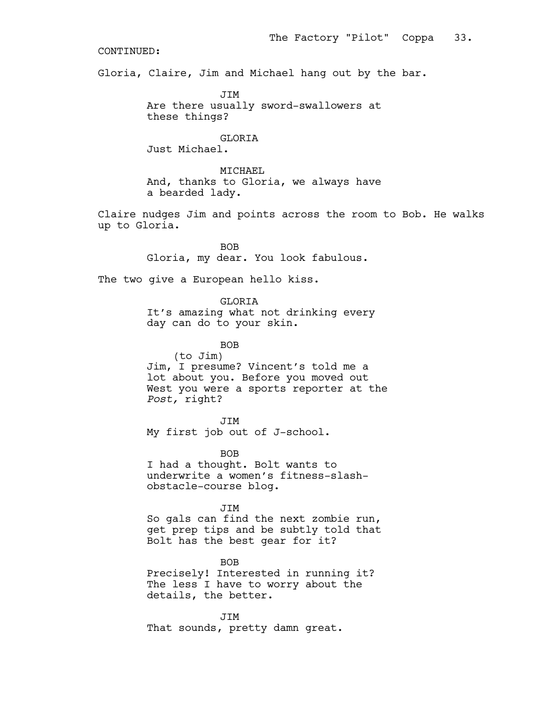Gloria, Claire, Jim and Michael hang out by the bar.

JIM Are there usually sword-swallowers at these things?

# GLORIA

Just Michael.

MICHAEL And, thanks to Gloria, we always have a bearded lady.

Claire nudges Jim and points across the room to Bob. He walks up to Gloria.

> BOB Gloria, my dear. You look fabulous.

The two give a European hello kiss.

GLORIA It's amazing what not drinking every day can do to your skin.

BOB (to Jim) Jim, I presume? Vincent's told me a lot about you. Before you moved out West you were a sports reporter at the *Post,* right?

JIM My first job out of J-school.

BOB I had a thought. Bolt wants to underwrite a women's fitness-slashobstacle-course blog.

#### JIM

So gals can find the next zombie run, get prep tips and be subtly told that Bolt has the best gear for it?

BOB Precisely! Interested in running it? The less I have to worry about the details, the better.

JIM That sounds, pretty damn great.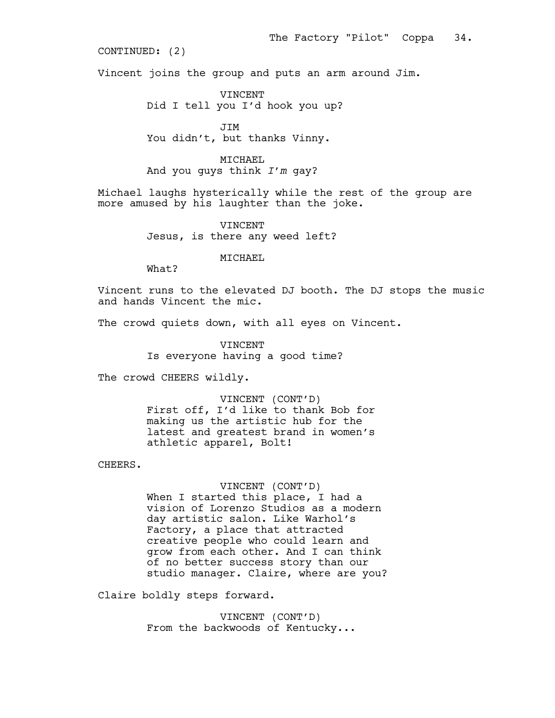Vincent joins the group and puts an arm around Jim.

VINCENT Did I tell you I'd hook you up?

JIM You didn't, but thanks Vinny.

### MICHAEL

And you guys think *I'm* gay?

Michael laughs hysterically while the rest of the group are more amused by his laughter than the joke.

> VINCENT Jesus, is there any weed left?

> > MICHAEL

What?

Vincent runs to the elevated DJ booth. The DJ stops the music and hands Vincent the mic.

The crowd quiets down, with all eyes on Vincent.

VINCENT Is everyone having a good time?

The crowd CHEERS wildly.

VINCENT (CONT'D) First off, I'd like to thank Bob for making us the artistic hub for the latest and greatest brand in women's athletic apparel, Bolt!

CHEERS.

VINCENT (CONT'D) When I started this place, I had a vision of Lorenzo Studios as a modern day artistic salon. Like Warhol's Factory, a place that attracted creative people who could learn and grow from each other. And I can think of no better success story than our studio manager. Claire, where are you?

Claire boldly steps forward.

VINCENT (CONT'D) From the backwoods of Kentucky...